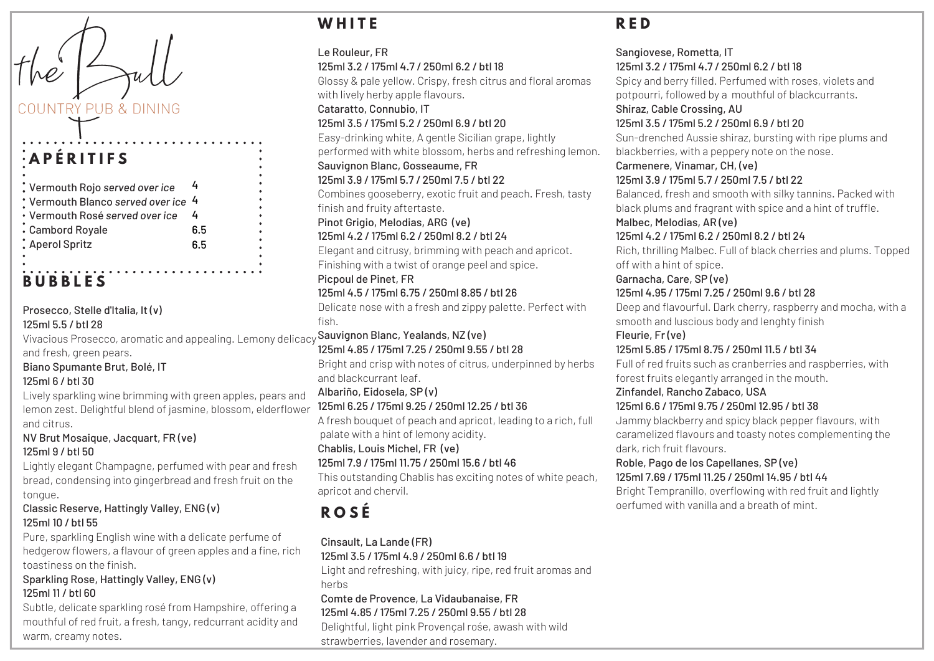### COUNTRY PUB & DINING

# **A P É R I T I F S**

| $:$ Vermouth Rojo served over ice                |     |
|--------------------------------------------------|-----|
| $\,$ Vermouth Blanco served over ice $\,$ 4 $\,$ |     |
| • Vermouth Rosé served over ice                  |     |
| Cambord Royale                                   | 6.5 |
| Aperol Spritz                                    | 6.5 |
|                                                  |     |

# **B U B B L E S**

Vivacious Prosecco, aromatic and appealing. Lemony delicacy **Sauvignon Blanc, Yealands, NZ (ve)** Prosecco, Stelle d'Italia, It (v) 125ml 5.5 / btl 28

and fresh, green pears.

Biano Spumante Brut, Bolé, IT 125ml 6 / btl 30

Lively sparkling wine brimming with green apples, pears and lemon zest. Delightful blend of jasmine, blossom, elderflower and citrus.

NV Brut Mosaique, Jacquart, FR (ve) 125ml 9 / btl 50

Lightly elegant Champagne, perfumed with pear and fresh bread, condensing into gingerbread and fresh fruit on the tongue.

#### Classic Reserve, Hattingly Valley, ENG (v) 125ml 10 / btl 55

Pure, sparkling English wine with a delicate perfume of hedgerow flowers, a flavour of green apples and a fine, rich toastiness on the finish.

#### Sparkling Rose, Hattingly Valley, ENG (v) 125ml 11 / btl 60

Subtle, delicate sparkling rosé from Hampshire, offering a mouthful of red fruit, a fresh, tangy, redcurrant acidity and warm, creamy notes.

# **W H I T E**

Le Rouleur, FR 125ml 3.2 / 175ml 4.7 / 250ml 6.2 / btl 18 Glossy & pale yellow. Crispy, fresh citrus and floral aromas with lively herby apple flavours. Cataratto, Connubio, IT 125ml 3.5 / 175ml 5.2 / 250ml 6.9 / btl 20 Easy-drinking white, A gentle Sicilian grape, lightly performed with white blossom, herbs and refreshing lemon. Sauvignon Blanc, Gosseaume, FR 125ml 3.9 / 175ml 5.7 / 250ml 7.5 / btl 22 Combines gooseberry, exotic fruit and peach. Fresh, tasty finish and fruity aftertaste. Pinot Grigio, Melodias, ARG (ve) 125ml 4.2 / 175ml 6.2 / 250ml 8.2 / btl 24 Elegant and citrusy, brimming with peach and apricot. Finishing with a twist of orange peel and spice. Picpoul de Pinet, FR 125ml 4.5 / 175ml 6.75 / 250ml 8.85 / btl 26 Delicate nose with a fresh and zippy palette. Perfect with fish. 125ml 4.85 / 175ml 7.25 / 250ml 9.55 / btl 28 Bright and crisp with notes of citrus, underpinned by herbs and blackcurrant leaf. Albariño, Eidosela, SP (v) 125ml 6.25 / 175ml 9.25 / 250ml 12.25 / btl 36 A fresh bouquet of peach and apricot, leading to a rich, full palate with a hint of lemony acidity. Chablis, Louis Michel, FR (ve) 125ml 7.9 / 175ml 11.75 / 250ml 15.6 / btl 46 This outstanding Chablis has exciting notes of white peach, apricot and chervil. oerfumed with vanilla and <sup>a</sup> breath of mint. **<sup>R</sup> <sup>O</sup> <sup>S</sup> <sup>É</sup>**

Cinsault, La Lande (FR) 125ml 3.5 / 175ml 4.9 / 250ml 6.6 / btl 19

Light and refreshing, with juicy, ripe, red fruit aromas and herbs

#### Comte de Provence, La Vidaubanaise, FR

125ml 4.85 / 175ml 7.25 / 250ml 9.55 / btl 28

Delightful, light pink Provençal rośe, awash with wild strawberries, lavender and rosemary.

#### **R E D**

Sangiovese, Rometta, IT 125ml 3.2 / 175ml 4.7 / 250ml 6.2 / btl 18 Spicy and berry filled. Perfumed with roses, violets and potpourri, followed by a mouthful of blackcurrants. Shiraz, Cable Crossing, AU 125ml 3.5 / 175ml 5.2 / 250ml 6.9 / btl 20 Sun-drenched Aussie shiraz, bursting with ripe plums and blackberries, with a peppery note on the nose. Carmenere, Vinamar, CH, (ve) 125ml 3.9 / 175ml 5.7 / 250ml 7.5 / btl 22 Balanced, fresh and smooth with silky tannins. Packed with black plums and fragrant with spice and a hint of truffle. Malbec, Melodias, AR (ve) 125ml 4.2 / 175ml 6.2 / 250ml 8.2 / btl 24 Rich, thrilling Malbec. Full of black cherries and plums. Topped off with a hint of spice. Garnacha, Care, SP (ve) 125ml 4.95 / 175ml 7.25 / 250ml 9.6 / btl 28 Deep and flavourful. Dark cherry, raspberry and mocha, with a smooth and luscious body and lenghty finish Fleurie, Fr (ve) 125ml 5.85 / 175ml 8.75 / 250ml 11.5 / btl 34 Full of red fruits such as cranberries and raspberries, with forest fruits elegantly arranged in the mouth. Zinfandel, Rancho Zabaco, USA 125ml 6.6 / 175ml 9.75 / 250ml 12.95 / btl 38 Jammy blackberry and spicy black pepper flavours, with caramelized flavours and toasty notes complementing the dark, rich fruit flavours. Roble, Pago de los Capellanes, SP (ve) 125ml 7.69 / 175ml 11.25 / 250ml 14.95 / btl 44 Bright Tempranillo, overflowing with red fruit and lightly